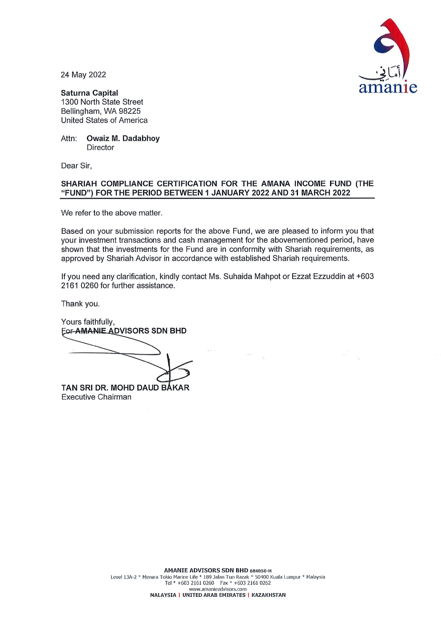

24 May 2022

**Saturna Capital** 1300 North State Street Bellingham, WA 98225 United States of America

Attn: **Owaiz M. Dadabhoy** Director

Dear Sir,

## SHARIAH COMPLIANCE CERTIFICATION FOR THE AMANA INCOME FUND (THE "FUND") FOR THE PERIOD BETWEEN 1 JANUARY 2022 AND 31 MARCH 2022

We refer to the above matter.

Based on your submission reports for the above Fund, we are pleased to inform you that your investment transactions and cash management for the abovementioned period, have shown that the investments for the Fund are in conformity with Shariah requirements, as approved by Shariah Advisor in accordance with established Shariah requirements.

If you need any clarification, kindly contact Ms. Suhaida Mahpot or Ezzat Ezzuddin at +603 2161 0260 for further assistance.

Thank you.

**Executive Chairman** 

Yours faithfully. **EOF-AMANIE ADVISORS SDN BHD** TAN SRI DR. MOHD DAUD BAKAR

AMANIE ADVISORS SDN BHD 684050-H Level 13A-2 \* Menara Tokio Marine Life \* 189 Jalan Tun Razak \* 50400 Kuala Lumpur \* Malaysia Tel \* +603 2161 0260 Fax \* +603 2161 0262 www.amanieadvisors.com MALAYSIA | UNITED ARAB EMIRATES | KAZAKHSTAN